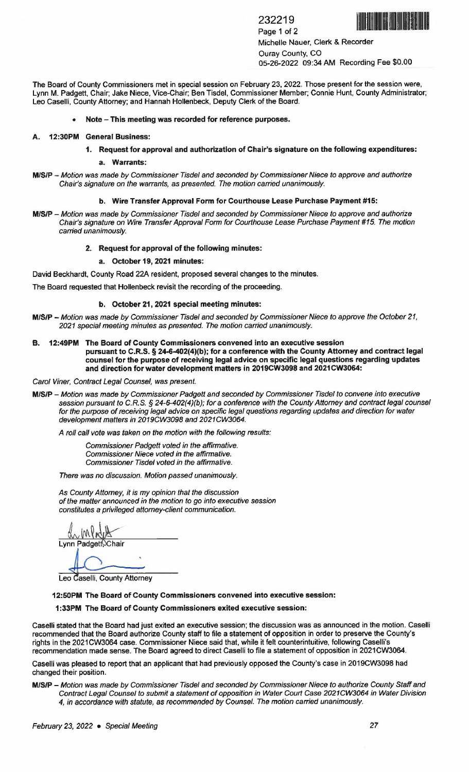232219 Page 1 of 2 Michelle Nauer, Clerk & Recorder Ouray County, CO 05-26-2022 09:34 AM Recording Fee \$0.00

The Board of County Commissioners met in special session on February 23, 2022. Those present for the session were, Lynn M. Padgett, Chair; Jake Niece, Vice.Chair; Ben Tisdel, Commissioner Member; Connie Hunt, County Administrator; Leo Caselli, County Attorney; and Hannah Hollenbeck, Deputy Clerk of the Board.

## • **Note** - **This meeting was recorded for reference purposes.**

#### **A. 12:30PM General Business:**

- **1. Request for approval and authorization of Chair's signature on the following expenditures:** 
	- **a. Warrants:**
- **MISIP** Motion was made by Commissioner Tisdel and seconded by Commissioner Niece to approve and authorize Chair's signature on the warrants, as presented. The motion carried unanimously.

# **b. Wire Transfer Approval Form for Courthouse Lease Purchase Payment #15:**

**M/S/P** - Motion was made by Commissioner Tisdel and seconded by Commissioner Niece to approve and authorize Chair's signature on Wire Transfer Approval Form for Courthouse Lease Purchase Payment #15. The motion carried unanimously.

#### **2. Request for approval of the following minutes:**

# **a. October 19, 2021 minutes:**

David Beckhardt, County Road 22A resident, proposed several changes to the minutes.

The Board requested that Hollenbeck revisit the recording of the proceeding.

## **b. October 21, 2021 special meeting minutes:**

- **M/S/P-** Motion was made by Commissioner Tisdel and seconded by Commissioner Niece to approve the October 21, 2021 special meeting minutes as presented. The motion carried unanimously.
- **B. 12:49PM The Board of County Commissioners convened into an executive session pursuant to C.R.S.** § **24-6-402(4)(b); for a conference with the County Attorney and contract legal counsel for the purpose of receiving legal advice on specific legal questions regarding updates and direction for water development matters in 2019CW3098 and 2021 CW3064:**

Carol Viner, Contract Legal Counsel, was present.

**M/S/P** - Motion was made by Commissioner Padgett and seconded by Commissioner Tisdel to convene into executive session pursuant to C.R.S. *§* 24-6-402(4){b); for a conference with the County Attorney and contract legal counsel for the purpose of receiving legal advice on specific legal questions regarding updates and direction for water development matters in 2019CW3098 and 2021CW3064.

A roll call vote was taken on the motion with the following results:

Commissioner Padgett voted in the affirmative. Commissioner Niece voted in the affirmative. Commissioner Tisdel voted in the affirmative.

There was no discussion. Motion passed unanimously.

As County Attorney, it is my opinion that the discussion of the matter announced in the motion to go into executive session constitutes a privileged attorney-client communication.

WWW

Leo Caselli, County Attorney

**12:50PM The Board of County Commissioners convened into executive session:** 

**1 :33PM The Board of County Commissioners exited executive session:** 

Caselli stated that the Board had just exited an executive session; the discussion was as announced in the motion. Caselli recommended that the Board authorize County staff to file a statement of opposition in order to preserve the County's rights in the 2021CW3064 case. Commissioner Niece said that, while it felt counterintuitive, following Caselli's recommendation made sense. The Board agreed to direct Caselli to file a statement of opposition in 2021 CW3064.

Caselli was pleased to report that an applicant that had previously opposed the County's case in 2019CW3098 had changed their position.

**M/S/P** - Motion was made by Commissioner Tisdel and seconded by Commissioner Niece to authorize County Staff and Contract Legal Counsel to submit a statement of opposition in Water Court Case 2021 CW3064 in Water Division 4, in accordance with statute, as recommended by Counsel. The motion carried unanimously.